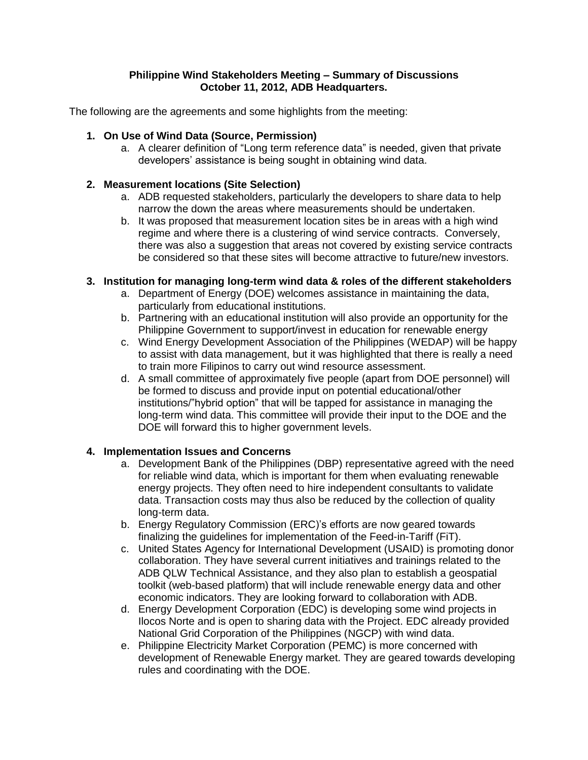### **Philippine Wind Stakeholders Meeting – Summary of Discussions October 11, 2012, ADB Headquarters.**

The following are the agreements and some highlights from the meeting:

### **1. On Use of Wind Data (Source, Permission)**

a. A clearer definition of "Long term reference data" is needed, given that private developers' assistance is being sought in obtaining wind data.

### **2. Measurement locations (Site Selection)**

- a. ADB requested stakeholders, particularly the developers to share data to help narrow the down the areas where measurements should be undertaken.
- b. It was proposed that measurement location sites be in areas with a high wind regime and where there is a clustering of wind service contracts. Conversely, there was also a suggestion that areas not covered by existing service contracts be considered so that these sites will become attractive to future/new investors.

# **3. Institution for managing long-term wind data & roles of the different stakeholders**

- a. Department of Energy (DOE) welcomes assistance in maintaining the data, particularly from educational institutions.
- b. Partnering with an educational institution will also provide an opportunity for the Philippine Government to support/invest in education for renewable energy
- c. Wind Energy Development Association of the Philippines (WEDAP) will be happy to assist with data management, but it was highlighted that there is really a need to train more Filipinos to carry out wind resource assessment.
- d. A small committee of approximately five people (apart from DOE personnel) will be formed to discuss and provide input on potential educational/other institutions/"hybrid option" that will be tapped for assistance in managing the long-term wind data. This committee will provide their input to the DOE and the DOE will forward this to higher government levels.

# **4. Implementation Issues and Concerns**

- a. Development Bank of the Philippines (DBP) representative agreed with the need for reliable wind data, which is important for them when evaluating renewable energy projects. They often need to hire independent consultants to validate data. Transaction costs may thus also be reduced by the collection of quality long-term data.
- b. Energy Regulatory Commission (ERC)'s efforts are now geared towards finalizing the guidelines for implementation of the Feed-in-Tariff (FiT).
- c. United States Agency for International Development (USAID) is promoting donor collaboration. They have several current initiatives and trainings related to the ADB QLW Technical Assistance, and they also plan to establish a geospatial toolkit (web-based platform) that will include renewable energy data and other economic indicators. They are looking forward to collaboration with ADB.
- d. Energy Development Corporation (EDC) is developing some wind projects in Ilocos Norte and is open to sharing data with the Project. EDC already provided National Grid Corporation of the Philippines (NGCP) with wind data.
- e. Philippine Electricity Market Corporation (PEMC) is more concerned with development of Renewable Energy market. They are geared towards developing rules and coordinating with the DOE.